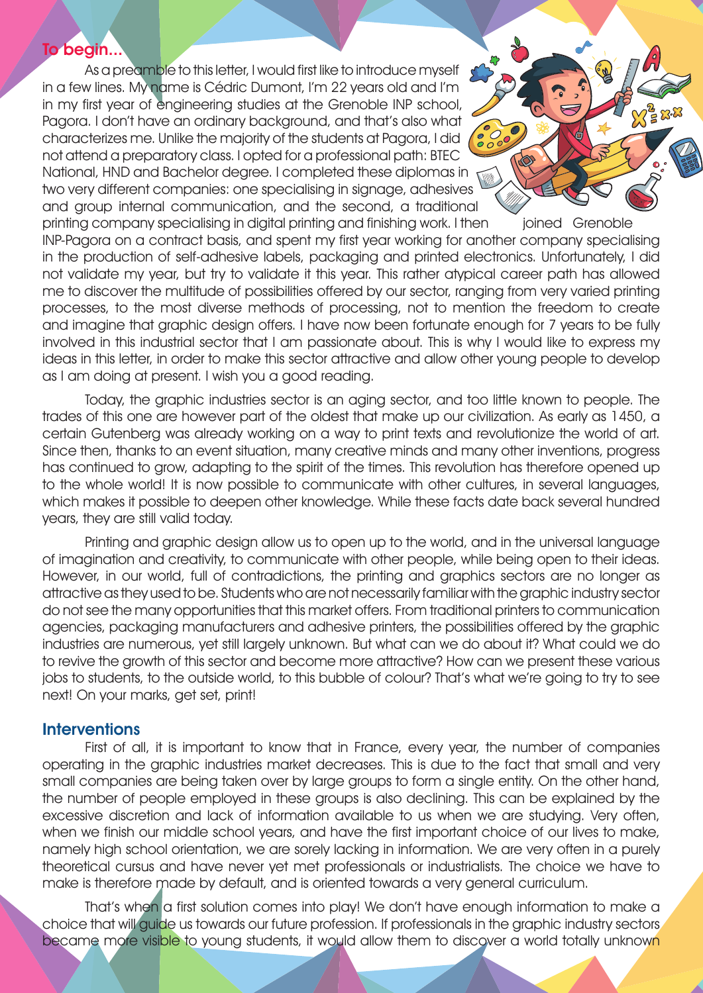## To begin...

As a preamble to this letter, I would first like to introduce myself in a few lines. My name is Cédric Dumont, I'm 22 years old and I'm in my first year of engineering studies at the Grenoble INP school, Pagora. I don't have an ordinary background, and that's also what characterizes me. Unlike the majority of the students at Pagora, I did not attend a preparatory class. I opted for a professional path: BTEC National, HND and Bachelor degree. I completed these diplomas in two very different companies: one specialising in signage, adhesives and group internal communication, and the second, a traditional

printing company specialising in digital printing and finishing work. I then joined Grenoble INP-Pagora on a contract basis, and spent my first year working for another company specialising in the production of self-adhesive labels, packaging and printed electronics. Unfortunately, I did not validate my year, but try to validate it this year. This rather atypical career path has allowed me to discover the multitude of possibilities offered by our sector, ranging from very varied printing processes, to the most diverse methods of processing, not to mention the freedom to create and imagine that graphic design offers. I have now been fortunate enough for 7 years to be fully involved in this industrial sector that I am passionate about. This is why I would like to express my ideas in this letter, in order to make this sector attractive and allow other young people to develop as I am doing at present. I wish you a good reading.

Today, the graphic industries sector is an aging sector, and too little known to people. The trades of this one are however part of the oldest that make up our civilization. As early as 1450, a certain Gutenberg was already working on a way to print texts and revolutionize the world of art. Since then, thanks to an event situation, many creative minds and many other inventions, progress has continued to grow, adapting to the spirit of the times. This revolution has therefore opened up to the whole world! It is now possible to communicate with other cultures, in several languages, which makes it possible to deepen other knowledge. While these facts date back several hundred years, they are still valid today.

Printing and graphic design allow us to open up to the world, and in the universal language of imagination and creativity, to communicate with other people, while being open to their ideas. However, in our world, full of contradictions, the printing and graphics sectors are no longer as attractive as they used to be. Students who are not necessarily familiar with the graphic industry sector do not see the many opportunities that this market offers. From traditional printers to communication agencies, packaging manufacturers and adhesive printers, the possibilities offered by the graphic industries are numerous, yet still largely unknown. But what can we do about it? What could we do to revive the growth of this sector and become more attractive? How can we present these various jobs to students, to the outside world, to this bubble of colour? That's what we're going to try to see next! On your marks, get set, print!

# **Interventions**

First of all, it is important to know that in France, every year, the number of companies operating in the graphic industries market decreases. This is due to the fact that small and very small companies are being taken over by large groups to form a single entity. On the other hand, the number of people employed in these groups is also declining. This can be explained by the excessive discretion and lack of information available to us when we are studying. Very often, when we finish our middle school years, and have the first important choice of our lives to make, namely high school orientation, we are sorely lacking in information. We are very often in a purely theoretical cursus and have never yet met professionals or industrialists. The choice we have to make is therefore made by default, and is oriented towards a very general curriculum.

That's when a first solution comes into play! We don't have enough information to make a choice that will guide us towards our future profession. If professionals in the graphic industry sectors became more visible to young students, it would allow them to discover a world totally unknown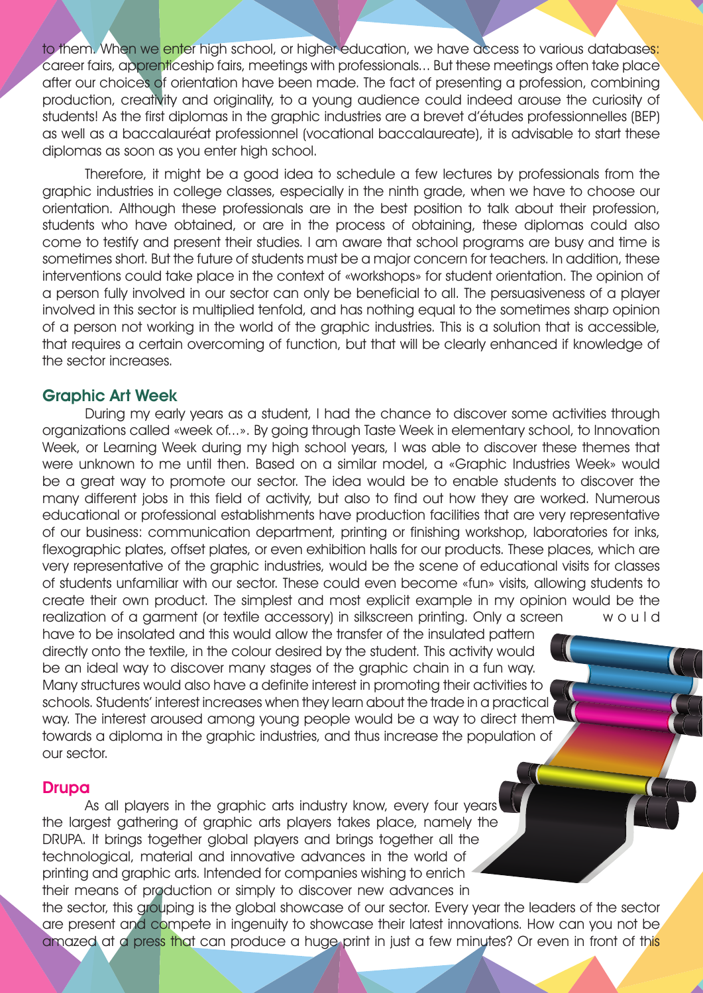to them. When we enter high school, or higher education, we have access to various databases: career fairs, apprenticeship fairs, meetings with professionals... But these meetings often take place after our choices of orientation have been made. The fact of presenting a profession, combining production, creativity and originality, to a young audience could indeed arouse the curiosity of students! As the first diplomas in the graphic industries are a brevet d'études professionnelles (BEP) as well as a baccalauréat professionnel (vocational baccalaureate), it is advisable to start these diplomas as soon as you enter high school.

Therefore, it might be a good idea to schedule a few lectures by professionals from the graphic industries in college classes, especially in the ninth grade, when we have to choose our orientation. Although these professionals are in the best position to talk about their profession, students who have obtained, or are in the process of obtaining, these diplomas could also come to testify and present their studies. I am aware that school programs are busy and time is sometimes short. But the future of students must be a major concern for teachers. In addition, these interventions could take place in the context of «workshops» for student orientation. The opinion of a person fully involved in our sector can only be beneficial to all. The persuasiveness of a player involved in this sector is multiplied tenfold, and has nothing equal to the sometimes sharp opinion of a person not working in the world of the graphic industries. This is a solution that is accessible, that requires a certain overcoming of function, but that will be clearly enhanced if knowledge of the sector increases.

## Graphic Art Week

During my early years as a student, I had the chance to discover some activities through organizations called «week of...». By going through Taste Week in elementary school, to Innovation Week, or Learning Week during my high school years, I was able to discover these themes that were unknown to me until then. Based on a similar model, a «Graphic Industries Week» would be a great way to promote our sector. The idea would be to enable students to discover the many different jobs in this field of activity, but also to find out how they are worked. Numerous educational or professional establishments have production facilities that are very representative of our business: communication department, printing or finishing workshop, laboratories for inks, flexographic plates, offset plates, or even exhibition halls for our products. These places, which are very representative of the graphic industries, would be the scene of educational visits for classes of students unfamiliar with our sector. These could even become «fun» visits, allowing students to create their own product. The simplest and most explicit example in my opinion would be the realization of a garment (or textile accessory) in silkscreen printing. Only a screen w o u I d

have to be insolated and this would allow the transfer of the insulated pattern directly onto the textile, in the colour desired by the student. This activity would be an ideal way to discover many stages of the graphic chain in a fun way. Many structures would also have a definite interest in promoting their activities to schools. Students' interest increases when they learn about the trade in a practical way. The interest aroused among young people would be a way to direct them towards a diploma in the graphic industries, and thus increase the population of our sector.

#### Drupa

As all players in the graphic arts industry know, every four years the largest gathering of graphic arts players takes place, namely the DRUPA. It brings together global players and brings together all the technological, material and innovative advances in the world of printing and graphic arts. Intended for companies wishing to enrich their means of production or simply to discover new advances in the sector, this grouping is the global showcase of our sector. Every year the leaders of the sector are present and compete in ingenuity to showcase their latest innovations. How can you not be amazed at a press that can produce a huge print in just a few minutes? Or even in front of this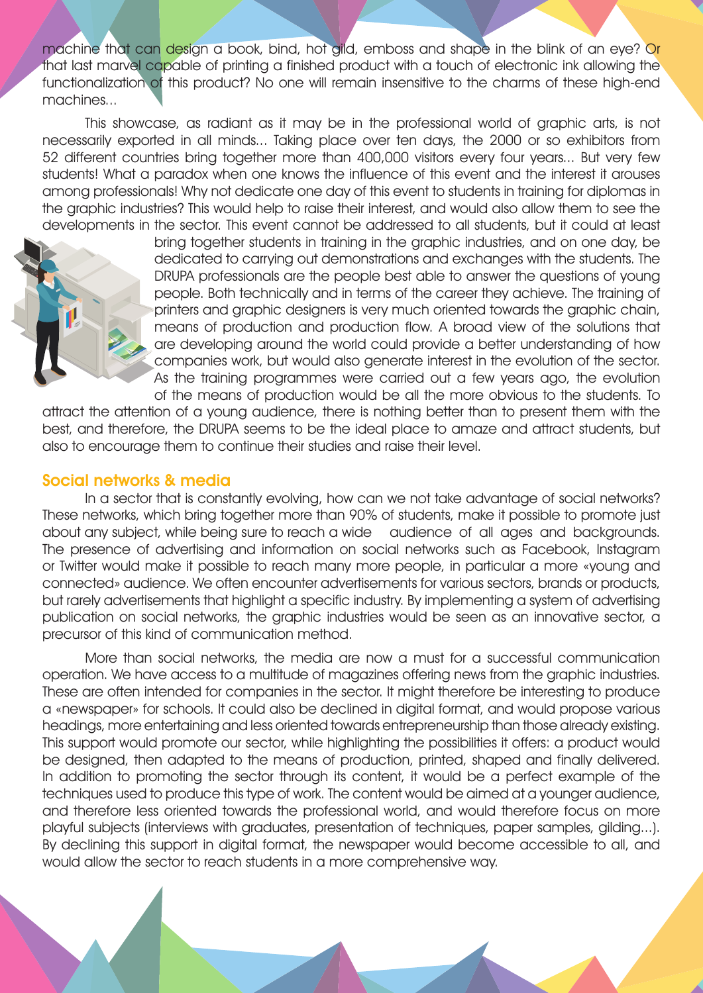machine that can design a book, bind, hot gild, emboss and shape in the blink of an eye? Or that last marvel capable of printing a finished product with a touch of electronic ink allowing the functionalization of this product? No one will remain insensitive to the charms of these high-end machines...

This showcase, as radiant as it may be in the professional world of graphic arts, is not necessarily exported in all minds... Taking place over ten days, the 2000 or so exhibitors from 52 different countries bring together more than 400,000 visitors every four years... But very few students! What a paradox when one knows the influence of this event and the interest it arouses among professionals! Why not dedicate one day of this event to students in training for diplomas in the graphic industries? This would help to raise their interest, and would also allow them to see the developments in the sector. This event cannot be addressed to all students, but it could at least



bring together students in training in the graphic industries, and on one day, be dedicated to carrying out demonstrations and exchanges with the students. The DRUPA professionals are the people best able to answer the questions of young people. Both technically and in terms of the career they achieve. The training of printers and graphic designers is very much oriented towards the graphic chain, means of production and production flow. A broad view of the solutions that are developing around the world could provide a better understanding of how companies work, but would also generate interest in the evolution of the sector. As the training programmes were carried out a few years ago, the evolution of the means of production would be all the more obvious to the students. To

attract the attention of a young audience, there is nothing better than to present them with the best, and therefore, the DRUPA seems to be the ideal place to amaze and attract students, but also to encourage them to continue their studies and raise their level.

#### Social networks & media

In a sector that is constantly evolving, how can we not take advantage of social networks? These networks, which bring together more than 90% of students, make it possible to promote just about any subject, while being sure to reach a wide audience of all ages and backgrounds. The presence of advertising and information on social networks such as Facebook, Instagram or Twitter would make it possible to reach many more people, in particular a more «young and connected» audience. We often encounter advertisements for various sectors, brands or products, but rarely advertisements that highlight a specific industry. By implementing a system of advertising publication on social networks, the graphic industries would be seen as an innovative sector, a precursor of this kind of communication method.

More than social networks, the media are now a must for a successful communication operation. We have access to a multitude of magazines offering news from the graphic industries. These are often intended for companies in the sector. It might therefore be interesting to produce a «newspaper» for schools. It could also be declined in digital format, and would propose various headings, more entertaining and less oriented towards entrepreneurship than those already existing. This support would promote our sector, while highlighting the possibilities it offers: a product would be designed, then adapted to the means of production, printed, shaped and finally delivered. In addition to promoting the sector through its content, it would be a perfect example of the techniques used to produce this type of work. The content would be aimed at a younger audience, and therefore less oriented towards the professional world, and would therefore focus on more playful subjects (interviews with graduates, presentation of techniques, paper samples, gilding...). By declining this support in digital format, the newspaper would become accessible to all, and would allow the sector to reach students in a more comprehensive way.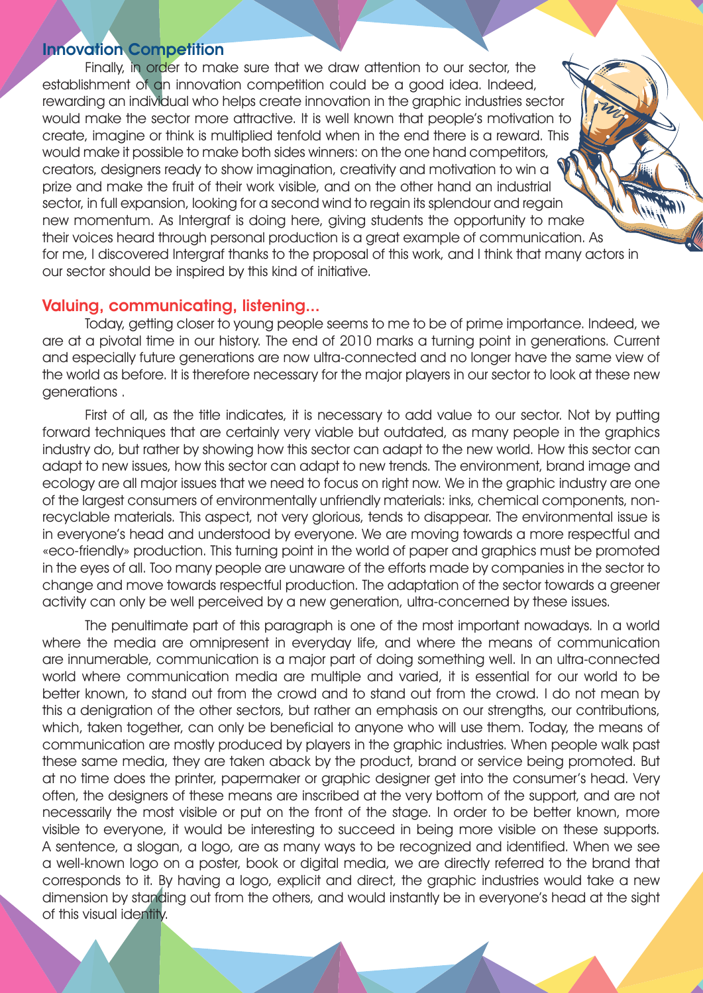#### Innovation Competition

Finally, in order to make sure that we draw attention to our sector, the establishment of an innovation competition could be a good idea. Indeed, rewarding an individual who helps create innovation in the graphic industries sector would make the sector more attractive. It is well known that people's motivation to create, imagine or think is multiplied tenfold when in the end there is a reward. This would make it possible to make both sides winners: on the one hand competitors, creators, designers ready to show imagination, creativity and motivation to win a prize and make the fruit of their work visible, and on the other hand an industrial sector, in full expansion, looking for a second wind to regain its splendour and regain new momentum. As Intergraf is doing here, giving students the opportunity to make their voices heard through personal production is a great example of communication. As for me, I discovered Intergraf thanks to the proposal of this work, and I think that many actors in our sector should be inspired by this kind of initiative.

# Valuing, communicating, listening...

Today, getting closer to young people seems to me to be of prime importance. Indeed, we are at a pivotal time in our history. The end of 2010 marks a turning point in generations. Current and especially future generations are now ultra-connected and no longer have the same view of the world as before. It is therefore necessary for the major players in our sector to look at these new generations .

First of all, as the title indicates, it is necessary to add value to our sector. Not by putting forward techniques that are certainly very viable but outdated, as many people in the graphics industry do, but rather by showing how this sector can adapt to the new world. How this sector can adapt to new issues, how this sector can adapt to new trends. The environment, brand image and ecology are all major issues that we need to focus on right now. We in the graphic industry are one of the largest consumers of environmentally unfriendly materials: inks, chemical components, nonrecyclable materials. This aspect, not very glorious, tends to disappear. The environmental issue is in everyone's head and understood by everyone. We are moving towards a more respectful and «eco-friendly» production. This turning point in the world of paper and graphics must be promoted in the eyes of all. Too many people are unaware of the efforts made by companies in the sector to change and move towards respectful production. The adaptation of the sector towards a greener activity can only be well perceived by a new generation, ultra-concerned by these issues.

The penultimate part of this paragraph is one of the most important nowadays. In a world where the media are omnipresent in everyday life, and where the means of communication are innumerable, communication is a major part of doing something well. In an ultra-connected world where communication media are multiple and varied, it is essential for our world to be better known, to stand out from the crowd and to stand out from the crowd. I do not mean by this a denigration of the other sectors, but rather an emphasis on our strengths, our contributions, which, taken together, can only be beneficial to anyone who will use them. Today, the means of communication are mostly produced by players in the graphic industries. When people walk past these same media, they are taken aback by the product, brand or service being promoted. But at no time does the printer, papermaker or graphic designer get into the consumer's head. Very often, the designers of these means are inscribed at the very bottom of the support, and are not necessarily the most visible or put on the front of the stage. In order to be better known, more visible to everyone, it would be interesting to succeed in being more visible on these supports. A sentence, a slogan, a logo, are as many ways to be recognized and identified. When we see a well-known logo on a poster, book or digital media, we are directly referred to the brand that corresponds to it. By having a logo, explicit and direct, the graphic industries would take a new dimension by standing out from the others, and would instantly be in everyone's head at the sight of this visual identity.